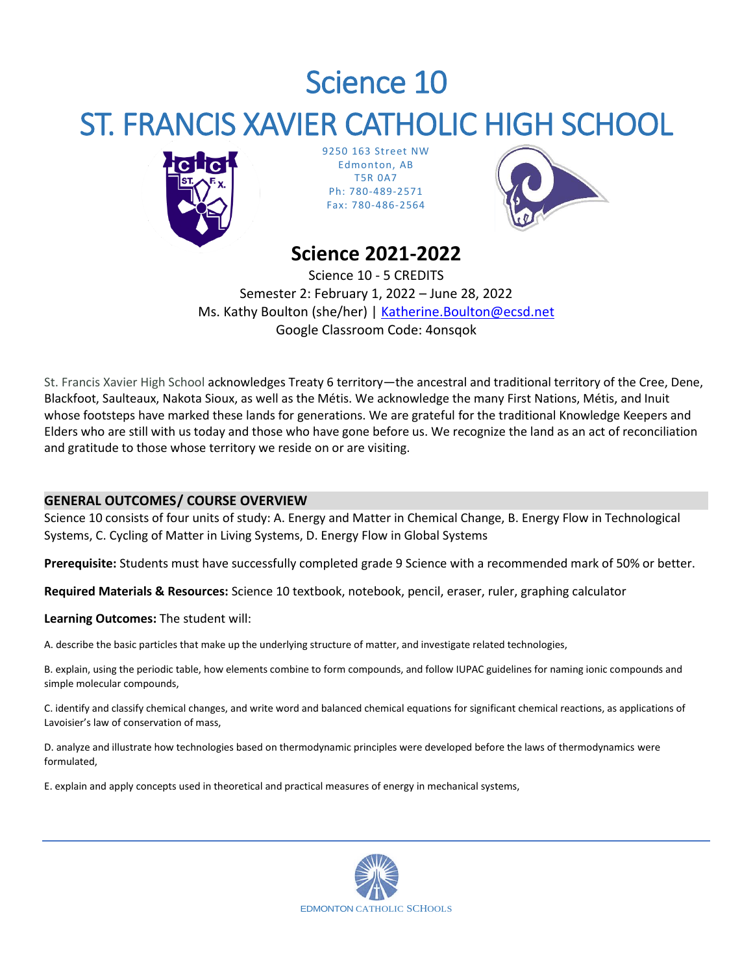# Science 10 ST. FRANCIS XAVIER CATHOLIC HIGH SCHOOL



9250 163 Street NW Edmonton, AB T5R 0A7 Ph: 780-489-2571 Fax: 780-486-2564



# **Science 2021-2022**

Science 10 - 5 CREDITS Semester 2: February 1, 2022 – June 28, 2022 Ms. Kathy Boulton (she/her) | [Katherine.Boulton@ecsd.net](mailto:Katherine.Boulton@ecsd.net) Google Classroom Code: 4onsqok

St. Francis Xavier High School acknowledges Treaty 6 territory—the ancestral and traditional territory of the Cree, Dene, Blackfoot, Saulteaux, Nakota Sioux, as well as the Métis. We acknowledge the many First Nations, Métis, and Inuit whose footsteps have marked these lands for generations. We are grateful for the traditional Knowledge Keepers and Elders who are still with us today and those who have gone before us. We recognize the land as an act of reconciliation and gratitude to those whose territory we reside on or are visiting.

# **GENERAL OUTCOMES/ COURSE OVERVIEW**

Science 10 consists of four units of study: A. Energy and Matter in Chemical Change, B. Energy Flow in Technological Systems, C. Cycling of Matter in Living Systems, D. Energy Flow in Global Systems

**Prerequisite:** Students must have successfully completed grade 9 Science with a recommended mark of 50% or better.

**Required Materials & Resources:** Science 10 textbook, notebook, pencil, eraser, ruler, graphing calculator

# **Learning Outcomes:** The student will:

A. describe the basic particles that make up the underlying structure of matter, and investigate related technologies,

B. explain, using the periodic table, how elements combine to form compounds, and follow IUPAC guidelines for naming ionic compounds and simple molecular compounds,

C. identify and classify chemical changes, and write word and balanced chemical equations for significant chemical reactions, as applications of Lavoisier's law of conservation of mass,

D. analyze and illustrate how technologies based on thermodynamic principles were developed before the laws of thermodynamics were formulated,

E. explain and apply concepts used in theoretical and practical measures of energy in mechanical systems,

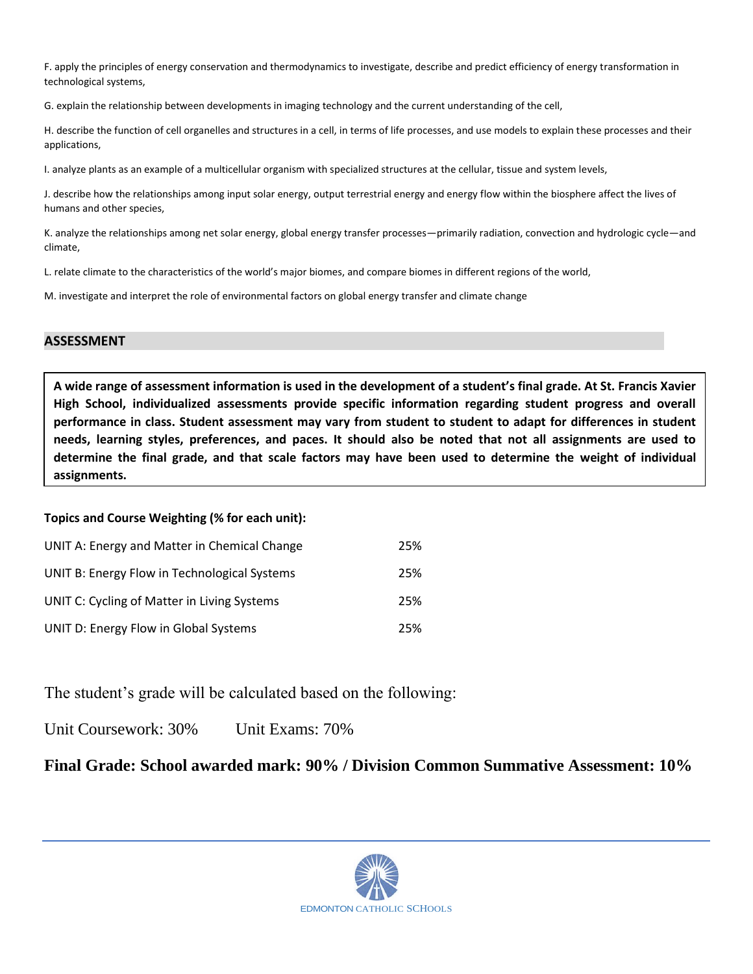F. apply the principles of energy conservation and thermodynamics to investigate, describe and predict efficiency of energy transformation in technological systems,

G. explain the relationship between developments in imaging technology and the current understanding of the cell,

H. describe the function of cell organelles and structures in a cell, in terms of life processes, and use models to explain these processes and their applications,

I. analyze plants as an example of a multicellular organism with specialized structures at the cellular, tissue and system levels,

J. describe how the relationships among input solar energy, output terrestrial energy and energy flow within the biosphere affect the lives of humans and other species,

K. analyze the relationships among net solar energy, global energy transfer processes—primarily radiation, convection and hydrologic cycle—and climate,

L. relate climate to the characteristics of the world's major biomes, and compare biomes in different regions of the world,

M. investigate and interpret the role of environmental factors on global energy transfer and climate change

#### **ASSESSMENT**

**A wide range of assessment information is used in the development of a student's final grade. At St. Francis Xavier High School, individualized assessments provide specific information regarding student progress and overall performance in class. Student assessment may vary from student to student to adapt for differences in student needs, learning styles, preferences, and paces. It should also be noted that not all assignments are used to determine the final grade, and that scale factors may have been used to determine the weight of individual assignments.**

#### **Topics and Course Weighting (% for each unit):**

| UNIT A: Energy and Matter in Chemical Change | 25% |
|----------------------------------------------|-----|
| UNIT B: Energy Flow in Technological Systems | 25% |
| UNIT C: Cycling of Matter in Living Systems  | 25% |
| UNIT D: Energy Flow in Global Systems        | 25% |

The student's grade will be calculated based on the following:

Unit Coursework: 30% Unit Exams: 70%

**Final Grade: School awarded mark: 90% / Division Common Summative Assessment: 10%**